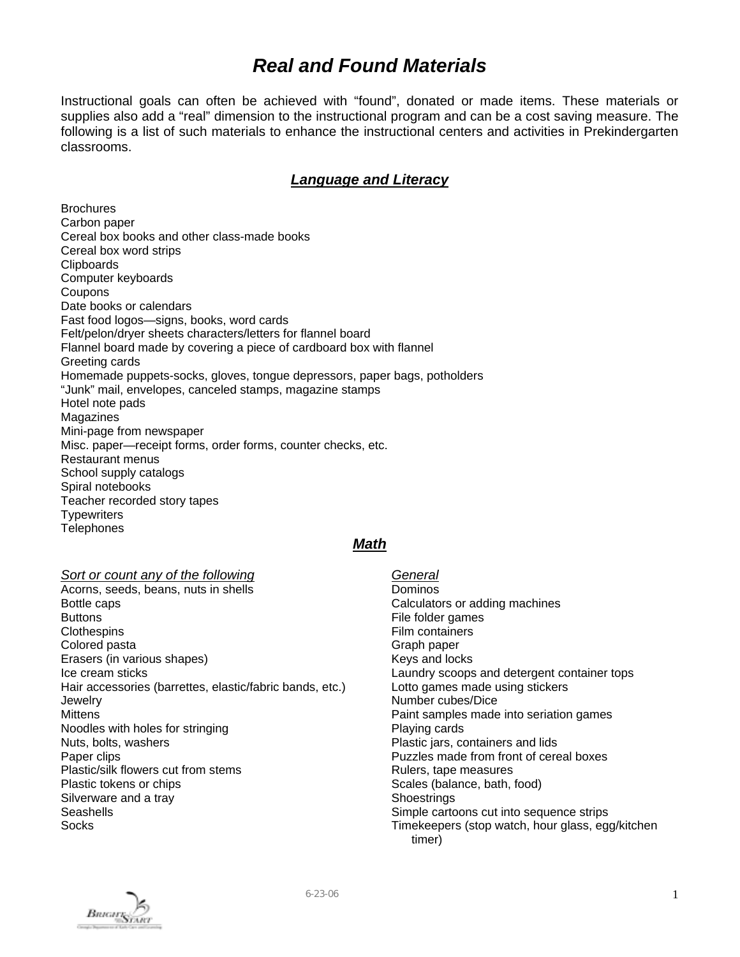# *Real and Found Materials*

Instructional goals can often be achieved with "found", donated or made items. These materials or supplies also add a "real" dimension to the instructional program and can be a cost saving measure. The following is a list of such materials to enhance the instructional centers and activities in Prekindergarten classrooms.

### *Language and Literacy*

**Brochures** Carbon paper Cereal box books and other class-made books Cereal box word strips **Clipboards** Computer keyboards **Coupons** Date books or calendars Fast food logos—signs, books, word cards Felt/pelon/dryer sheets characters/letters for flannel board Flannel board made by covering a piece of cardboard box with flannel Greeting cards Homemade puppets-socks, gloves, tongue depressors, paper bags, potholders "Junk" mail, envelopes, canceled stamps, magazine stamps Hotel note pads Magazines Mini-page from newspaper Misc. paper—receipt forms, order forms, counter checks, etc. Restaurant menus School supply catalogs Spiral notebooks Teacher recorded story tapes **Typewriters Telephones** 

### *Math*

#### *Sort or count any of the following*

- Acorns, seeds, beans, nuts in shells Bottle caps **Buttons Clothespins** Colored pasta Erasers (in various shapes) Ice cream sticks Hair accessories (barrettes, elastic/fabric bands, etc.) **Jewelry Mittens** Noodles with holes for stringing Nuts, bolts, washers Paper clips Plastic/silk flowers cut from stems Plastic tokens or chips Silverware and a tray Seashells **Socks**
- *General* Dominos Calculators or adding machines File folder games Film containers Graph paper Keys and locks Laundry scoops and detergent container tops Lotto games made using stickers Number cubes/Dice Paint samples made into seriation games Playing cards Plastic jars, containers and lids Puzzles made from front of cereal boxes Rulers, tape measures Scales (balance, bath, food) **Shoestrings** Simple cartoons cut into sequence strips Timekeepers (stop watch, hour glass, egg/kitchen timer)

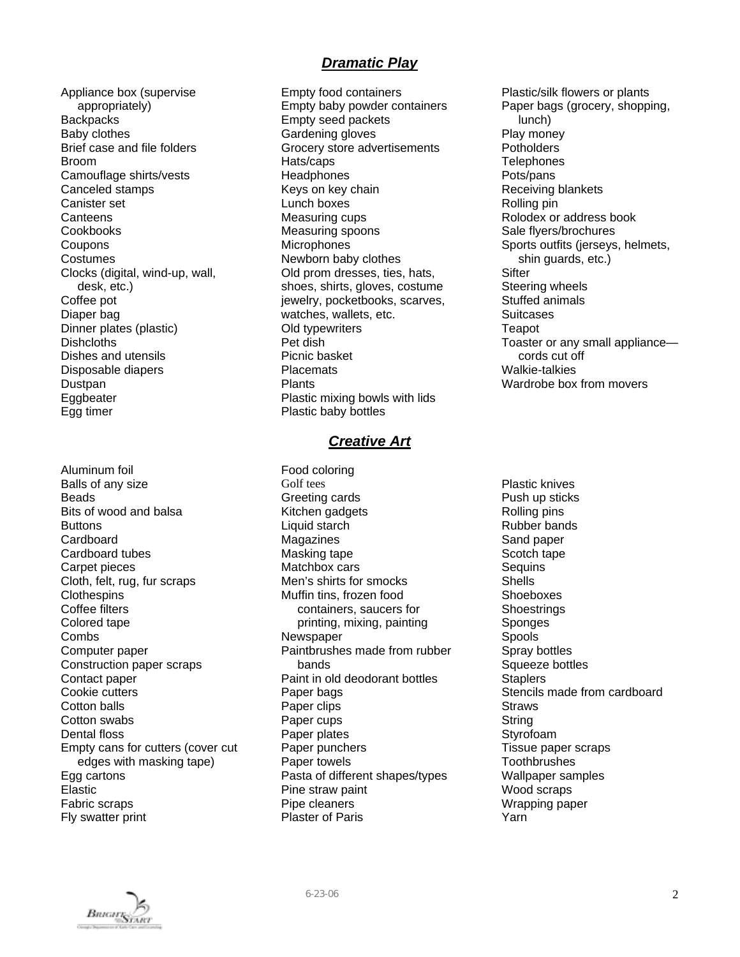# *Dramatic Play*

Appliance box (supervise appropriately) **Backpacks** Baby clothes Brief case and file folders Broom Camouflage shirts/vests Canceled stamps Canister set **Canteens** Cookbooks **Coupons** Costumes Clocks (digital, wind-up, wall, desk, etc.) Coffee pot Diaper bag Dinner plates (plastic) Dishcloths Dishes and utensils Disposable diapers Dustpan Eggbeater Egg timer

Aluminum foil Balls of any size Beads Bits of wood and balsa **Buttons Cardboard** Cardboard tubes Carpet pieces Cloth, felt, rug, fur scraps **Clothespins** Coffee filters Colored tape **Combs** Computer paper Construction paper scraps Contact paper Cookie cutters Cotton balls Cotton swabs Dental floss Empty cans for cutters (cover cut edges with masking tape) Egg cartons Elastic Fabric scraps Fly swatter print

Empty food containers Empty baby powder containers Empty seed packets Gardening gloves Grocery store advertisements Hats/caps **Headphones** Keys on key chain Lunch boxes Measuring cups Measuring spoons **Microphones** Newborn baby clothes Old prom dresses, ties, hats, shoes, shirts, gloves, costume jewelry, pocketbooks, scarves, watches, wallets, etc. Old typewriters Pet dish Picnic basket **Placemats** Plants Plastic mixing bowls with lids Plastic baby bottles

### *Creative Art*

Food coloring Golf tees Greeting cards Kitchen gadgets Liquid starch Magazines Masking tape Matchbox cars Men's shirts for smocks Muffin tins, frozen food containers, saucers for printing, mixing, painting Newspaper Paintbrushes made from rubber bands Paint in old deodorant bottles Paper bags Paper clips Paper cups Paper plates Paper punchers Paper towels Pasta of different shapes/types Pine straw paint Pipe cleaners Plaster of Paris

Plastic/silk flowers or plants Paper bags (grocery, shopping, lunch) Play money **Potholders Telephones** Pots/pans Receiving blankets Rolling pin Rolodex or address book Sale flyers/brochures Sports outfits (jerseys, helmets, shin guards, etc.) **Sifter** Steering wheels Stuffed animals **Suitcases** Teapot Toaster or any small appliance cords cut off Walkie-talkies Wardrobe box from movers

Plastic knives Push up sticks Rolling pins Rubber bands Sand paper Scotch tape **Sequins** Shells Shoeboxes **Shoestrings** Sponges Spools Spray bottles Squeeze bottles **Staplers** Stencils made from cardboard **Straws String** Styrofoam Tissue paper scraps **Toothbrushes** Wallpaper samples Wood scraps Wrapping paper Yarn

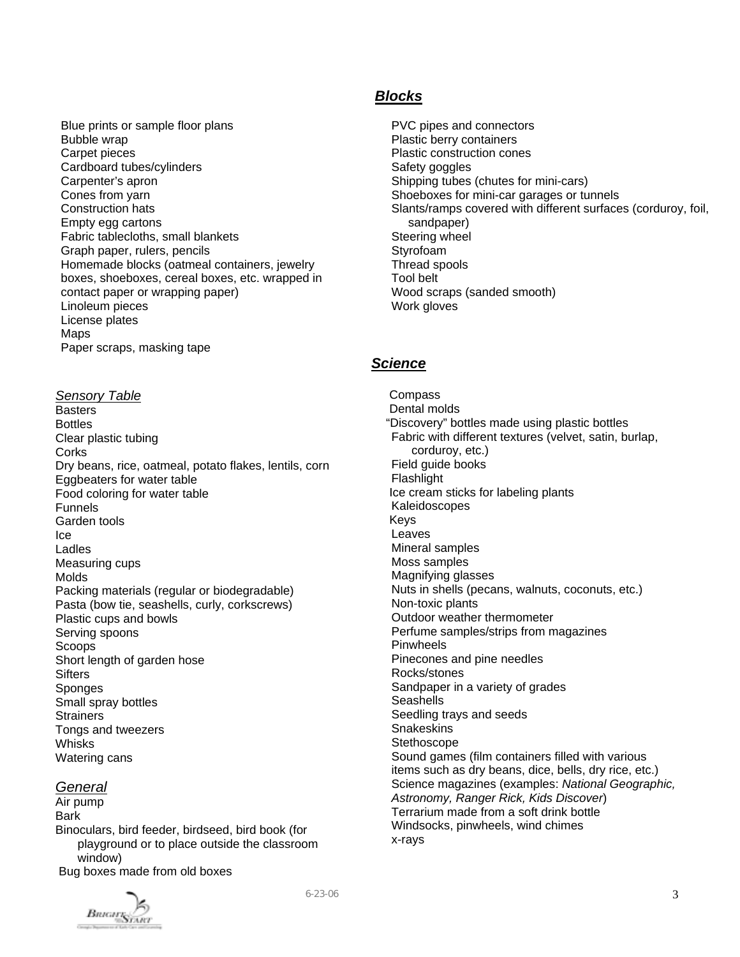Blue prints or sample floor plans Bubble wrap Carpet pieces Cardboard tubes/cylinders Carpenter's apron Cones from yarn Construction hats Empty egg cartons Fabric tablecloths, small blankets Graph paper, rulers, pencils Homemade blocks (oatmeal containers, jewelry boxes, shoeboxes, cereal boxes, etc. wrapped in contact paper or wrapping paper) Linoleum pieces License plates Maps Paper scraps, masking tape

#### *Sensory Table*

**Basters** Bottles Clear plastic tubing **Corks** Dry beans, rice, oatmeal, potato flakes, lentils, corn Eggbeaters for water table Food coloring for water table Funnels Garden tools Ice Ladles Measuring cups Molds Packing materials (regular or biodegradable) Pasta (bow tie, seashells, curly, corkscrews) Plastic cups and bowls Serving spoons Scoops Short length of garden hose **Sifters Sponges** Small spray bottles **Strainers** Tongs and tweezers Whisks Watering cans

#### *General*

Air pump Bark Binoculars, bird feeder, birdseed, bird book (for playground or to place outside the classroom window) Bug boxes made from old boxes



### *Blocks*

PVC pipes and connectors Plastic berry containers Plastic construction cones Safety goggles Shipping tubes (chutes for mini-cars) Shoeboxes for mini-car garages or tunnels Slants/ramps covered with different surfaces (corduroy, foil, sandpaper) Steering wheel Styrofoam Thread spools Tool belt Wood scraps (sanded smooth) Work gloves

# *Science*

**Compass**  Dental molds "Discovery" bottles made using plastic bottles Fabric with different textures (velvet, satin, burlap, corduroy, etc.) Field guide books Flashlight Ice cream sticks for labeling plants Kaleidoscopes Keys Leaves Mineral samples Moss samples Magnifying glasses Nuts in shells (pecans, walnuts, coconuts, etc.) Non-toxic plants Outdoor weather thermometer Perfume samples/strips from magazines Pinwheels Pinecones and pine needles Rocks/stones Sandpaper in a variety of grades **Seashells** Seedling trays and seeds **Snakeskins Stethoscope** Sound games (film containers filled with various items such as dry beans, dice, bells, dry rice, etc.) Science magazines (examples: *National Geographic, Astronomy, Ranger Rick, Kids Discover*) Terrarium made from a soft drink bottle Windsocks, pinwheels, wind chimes x-rays